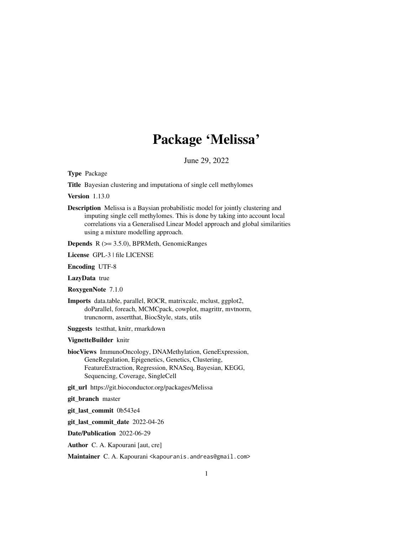# Package 'Melissa'

June 29, 2022

<span id="page-0-0"></span>Type Package

Title Bayesian clustering and imputationa of single cell methylomes

Version 1.13.0

Description Melissa is a Baysian probabilistic model for jointly clustering and imputing single cell methylomes. This is done by taking into account local correlations via a Generalised Linear Model approach and global similarities using a mixture modelling approach.

Depends R (>= 3.5.0), BPRMeth, GenomicRanges

License GPL-3 | file LICENSE

Encoding UTF-8

LazyData true

RoxygenNote 7.1.0

Imports data.table, parallel, ROCR, matrixcalc, mclust, ggplot2, doParallel, foreach, MCMCpack, cowplot, magrittr, mvtnorm, truncnorm, assertthat, BiocStyle, stats, utils

Suggests testthat, knitr, rmarkdown

VignetteBuilder knitr

biocViews ImmunoOncology, DNAMethylation, GeneExpression, GeneRegulation, Epigenetics, Genetics, Clustering, FeatureExtraction, Regression, RNASeq, Bayesian, KEGG, Sequencing, Coverage, SingleCell

git\_url https://git.bioconductor.org/packages/Melissa

git\_branch master

git\_last\_commit 0b543e4

git\_last\_commit\_date 2022-04-26

Date/Publication 2022-06-29

Author C. A. Kapourani [aut, cre]

Maintainer C. A. Kapourani <kapouranis.andreas@gmail.com>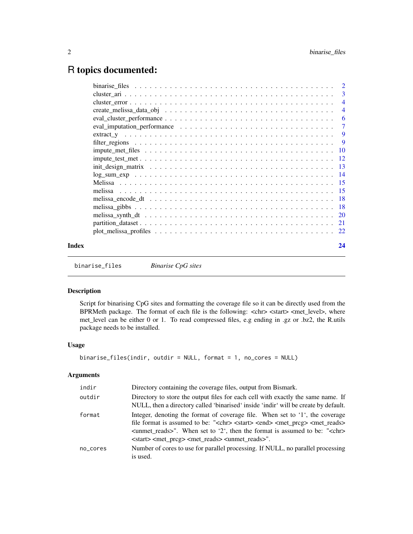# <span id="page-1-0"></span>R topics documented:

|       |                                                                                                                                         | $\overline{4}$ |
|-------|-----------------------------------------------------------------------------------------------------------------------------------------|----------------|
|       |                                                                                                                                         | $\overline{4}$ |
|       |                                                                                                                                         |                |
|       |                                                                                                                                         |                |
|       |                                                                                                                                         |                |
|       |                                                                                                                                         |                |
|       | $\text{impute\_met\_files} \dots \dots \dots \dots \dots \dots \dots \dots \dots \dots \dots \dots \dots \dots \dots \dots \dots \dots$ |                |
|       |                                                                                                                                         |                |
|       |                                                                                                                                         |                |
|       |                                                                                                                                         |                |
|       |                                                                                                                                         |                |
|       |                                                                                                                                         |                |
|       |                                                                                                                                         |                |
|       |                                                                                                                                         |                |
|       |                                                                                                                                         |                |
|       |                                                                                                                                         |                |
|       |                                                                                                                                         |                |
| Index |                                                                                                                                         | 24             |
|       |                                                                                                                                         |                |

<span id="page-1-1"></span>binarise\_files *Binarise CpG sites*

# Description

Script for binarising CpG sites and formatting the coverage file so it can be directly used from the BPRMeth package. The format of each file is the following: <chr> <start> <met\_level>, where met\_level can be either 0 or 1. To read compressed files, e.g ending in .gz or .bz2, the R.utils package needs to be installed.

# Usage

```
binarise_files(indir, outdir = NULL, format = 1, no_cores = NULL)
```
# Arguments

| indir    | Directory containing the coverage files, output from Bismark.                                                                                                                                                                                                                                                                                                                              |
|----------|--------------------------------------------------------------------------------------------------------------------------------------------------------------------------------------------------------------------------------------------------------------------------------------------------------------------------------------------------------------------------------------------|
| outdir   | Directory to store the output files for each cell with exactly the same name. If<br>NULL, then a directory called 'binarised' inside 'indir' will be create by default.                                                                                                                                                                                                                    |
| format   | Integer, denoting the format of coverage file. When set to '1', the coverage<br>file format is assumed to be: " <chr> <start> <end> <met prcg=""> <met reads=""><br/><unmet_reads>". When set to '2', then the format is assumed to be: "<chr><br/><start> <met preg=""> <met reads=""> <unmet reads="">".</unmet></met></met></start></chr></unmet_reads></met></met></end></start></chr> |
| no_cores | Number of cores to use for parallel processing. If NULL, no parallel processing<br>is used.                                                                                                                                                                                                                                                                                                |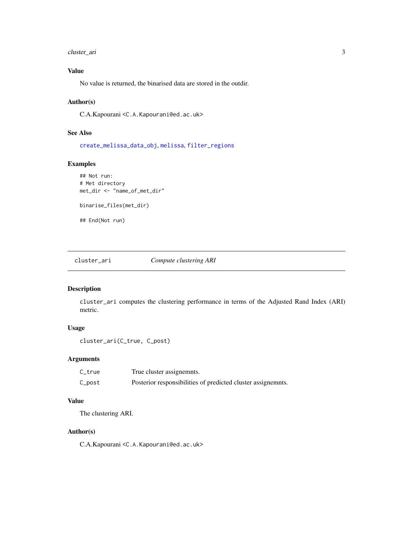# <span id="page-2-0"></span>cluster\_ari 3

# Value

No value is returned, the binarised data are stored in the outdir.

# Author(s)

C.A.Kapourani <C.A.Kapourani@ed.ac.uk>

#### See Also

[create\\_melissa\\_data\\_obj](#page-3-1), [melissa](#page-14-1), [filter\\_regions](#page-8-1)

# Examples

```
## Not run:
# Met directory
met_dir <- "name_of_met_dir"
binarise_files(met_dir)
## End(Not run)
```
cluster\_ari *Compute clustering ARI*

# Description

cluster\_ari computes the clustering performance in terms of the Adjusted Rand Index (ARI) metric.

# Usage

```
cluster_ari(C_true, C_post)
```
#### Arguments

| C_true | True cluster assignemnts.                                    |
|--------|--------------------------------------------------------------|
| C_post | Posterior responsibilities of predicted cluster assignemnts. |

# Value

The clustering ARI.

# Author(s)

C.A.Kapourani <C.A.Kapourani@ed.ac.uk>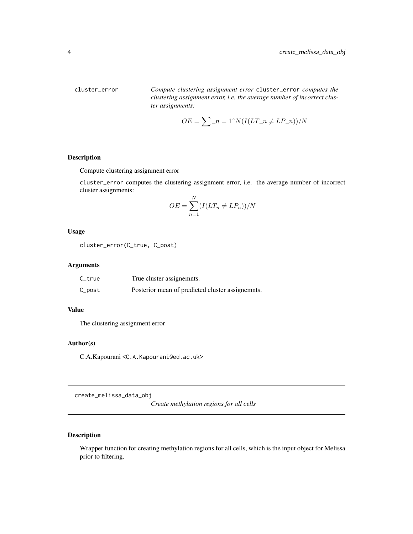<span id="page-3-0"></span>cluster\_error *Compute clustering assignment error* cluster\_error *computes the clustering assignment error, i.e. the average number of incorrect cluster assignments:*

$$
OE = \sum_{n=1}^{n} n = 1^N \left( I(LT_n \neq LP_n) \right) / N
$$

# Description

Compute clustering assignment error

cluster\_error computes the clustering assignment error, i.e. the average number of incorrect cluster assignments:

$$
OE = \sum_{n=1}^{N} (I(LT_n \neq LP_n))/N
$$

#### Usage

cluster\_error(C\_true, C\_post)

#### Arguments

| C_true | True cluster assignemnts.                        |
|--------|--------------------------------------------------|
| C_post | Posterior mean of predicted cluster assignemnts. |

#### Value

The clustering assignment error

#### Author(s)

C.A.Kapourani <C.A.Kapourani@ed.ac.uk>

<span id="page-3-1"></span>create\_melissa\_data\_obj

*Create methylation regions for all cells*

#### Description

Wrapper function for creating methylation regions for all cells, which is the input object for Melissa prior to filtering.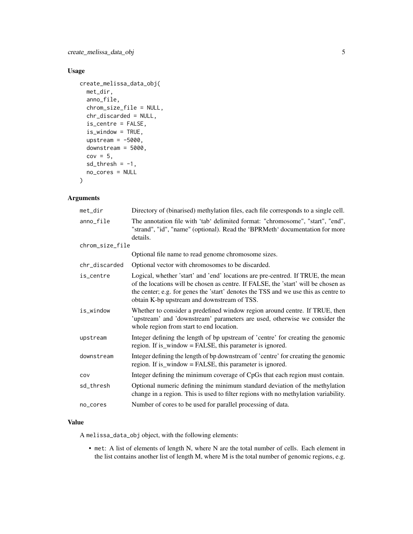# Usage

```
create_melissa_data_obj(
 met_dir,
  anno_file,
  chrom_size_file = NULL,
  chr_discarded = NULL,
  is_centre = FALSE,
  is_window = TRUE,
  upstream = -5000,
  downstream = 5000,
  cov = 5,
  sd_{th}resh = -1,
  no_cores = NULL
)
```
# Arguments

| met_dir         | Directory of (binarised) methylation files, each file corresponds to a single cell.                                                                                                                                                                                                                         |
|-----------------|-------------------------------------------------------------------------------------------------------------------------------------------------------------------------------------------------------------------------------------------------------------------------------------------------------------|
| anno_file       | The annotation file with 'tab' delimited format: "chromosome", "start", "end",<br>"strand", "id", "name" (optional). Read the 'BPRMeth' documentation for more<br>details.                                                                                                                                  |
| chrom_size_file |                                                                                                                                                                                                                                                                                                             |
|                 | Optional file name to read genome chromosome sizes.                                                                                                                                                                                                                                                         |
| chr_discarded   | Optional vector with chromosomes to be discarded.                                                                                                                                                                                                                                                           |
| is_centre       | Logical, whether 'start' and 'end' locations are pre-centred. If TRUE, the mean<br>of the locations will be chosen as centre. If FALSE, the 'start' will be chosen as<br>the center; e.g. for genes the 'start' denotes the TSS and we use this as centre to<br>obtain K-bp upstream and downstream of TSS. |
| is_window       | Whether to consider a predefined window region around centre. If TRUE, then<br>'upstream' and 'downstream' parameters are used, otherwise we consider the<br>whole region from start to end location.                                                                                                       |
| upstream        | Integer defining the length of bp upstream of 'centre' for creating the genomic<br>region. If is_window = FALSE, this parameter is ignored.                                                                                                                                                                 |
| downstream      | Integer defining the length of bp downstream of 'centre' for creating the genomic<br>region. If is_window = FALSE, this parameter is ignored.                                                                                                                                                               |
| COV             | Integer defining the minimum coverage of CpGs that each region must contain.                                                                                                                                                                                                                                |
| sd_thresh       | Optional numeric defining the minimum standard deviation of the methylation<br>change in a region. This is used to filter regions with no methylation variability.                                                                                                                                          |
| no_cores        | Number of cores to be used for parallel processing of data.                                                                                                                                                                                                                                                 |

# Value

A melissa\_data\_obj object, with the following elements:

• met: A list of elements of length N, where N are the total number of cells. Each element in the list contains another list of length M, where M is the total number of genomic regions, e.g.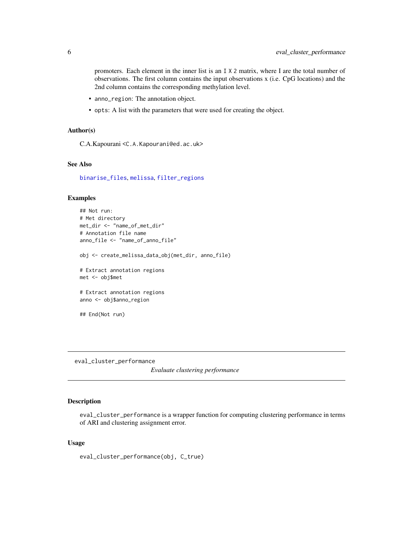<span id="page-5-0"></span>promoters. Each element in the inner list is an I X 2 matrix, where I are the total number of observations. The first column contains the input observations x (i.e. CpG locations) and the 2nd column contains the corresponding methylation level.

- anno\_region: The annotation object.
- opts: A list with the parameters that were used for creating the object.

# Author(s)

C.A.Kapourani <C.A.Kapourani@ed.ac.uk>

# See Also

[binarise\\_files](#page-1-1), [melissa](#page-14-1), [filter\\_regions](#page-8-1)

# Examples

```
## Not run:
# Met directory
met_dir <- "name_of_met_dir"
# Annotation file name
anno_file <- "name_of_anno_file"
obj <- create_melissa_data_obj(met_dir, anno_file)
# Extract annotation regions
met <- obj$met
# Extract annotation regions
anno <- obj$anno_region
## End(Not run)
```
<span id="page-5-1"></span>eval\_cluster\_performance

*Evaluate clustering performance*

# Description

eval\_cluster\_performance is a wrapper function for computing clustering performance in terms of ARI and clustering assignment error.

#### Usage

eval\_cluster\_performance(obj, C\_true)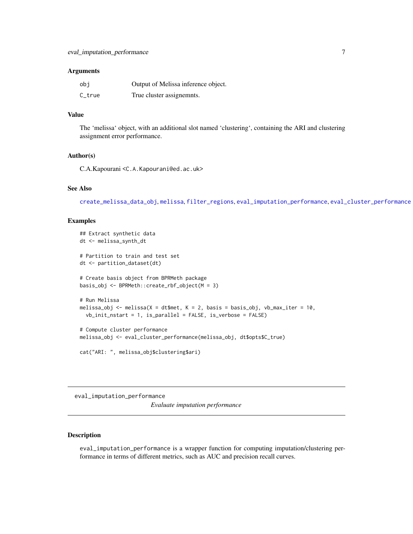#### <span id="page-6-0"></span>**Arguments**

| obi        | Output of Melissa inference object. |
|------------|-------------------------------------|
| $C_{true}$ | True cluster assignemnts.           |

# Value

The 'melissa' object, with an additional slot named 'clustering', containing the ARI and clustering assignment error performance.

# Author(s)

C.A.Kapourani <C.A.Kapourani@ed.ac.uk>

# See Also

[create\\_melissa\\_data\\_obj](#page-3-1), [melissa](#page-14-1), [filter\\_regions](#page-8-1), [eval\\_imputation\\_performance](#page-6-1), [eval\\_cluster\\_performance](#page-5-1)

# Examples

```
## Extract synthetic data
dt <- melissa_synth_dt
# Partition to train and test set
dt <- partition_dataset(dt)
# Create basis object from BPRMeth package
basis_obj <- BPRMeth::create_rbf_object(M = 3)
# Run Melissa
melissa_obj <- melissa(X = dt$met, K = 2, basis = basis_obj, vb_max_iter = 10,
  vb_init_nstart = 1, is_parallel = FALSE, is_verbose = FALSE)
# Compute cluster performance
melissa_obj <- eval_cluster_performance(melissa_obj, dt$opts$C_true)
cat("ARI: ", melissa_obj$clustering$ari)
```
<span id="page-6-1"></span>eval\_imputation\_performance

*Evaluate imputation performance*

#### Description

eval\_imputation\_performance is a wrapper function for computing imputation/clustering performance in terms of different metrics, such as AUC and precision recall curves.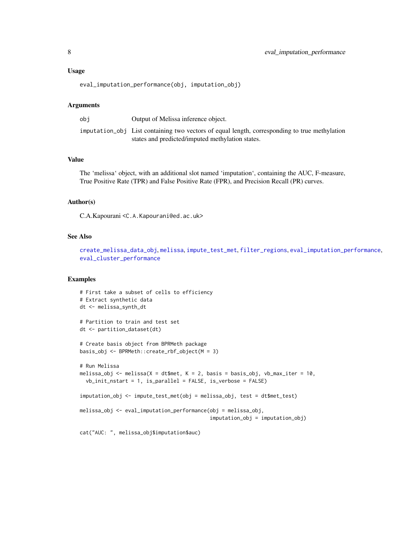<span id="page-7-0"></span>eval\_imputation\_performance(obj, imputation\_obj)

#### Arguments

| obi | Output of Melissa inference object.                                                                                                               |
|-----|---------------------------------------------------------------------------------------------------------------------------------------------------|
|     | imputation_obj List containing two vectors of equal length, corresponding to true methylation<br>states and predicted/imputed methylation states. |
|     |                                                                                                                                                   |

# Value

The 'melissa' object, with an additional slot named 'imputation', containing the AUC, F-measure, True Positive Rate (TPR) and False Positive Rate (FPR), and Precision Recall (PR) curves.

#### Author(s)

C.A.Kapourani <C.A.Kapourani@ed.ac.uk>

#### See Also

[create\\_melissa\\_data\\_obj](#page-3-1), [melissa](#page-14-1), [impute\\_test\\_met](#page-11-1), [filter\\_regions](#page-8-1), [eval\\_imputation\\_performance](#page-6-1), [eval\\_cluster\\_performance](#page-5-1)

#### Examples

```
# First take a subset of cells to efficiency
# Extract synthetic data
dt <- melissa_synth_dt
# Partition to train and test set
dt <- partition_dataset(dt)
# Create basis object from BPRMeth package
basis_obj <- BPRMeth::create_rbf_object(M = 3)
# Run Melissa
melissa_obj <- melissa(X = dt$met, K = 2, basis = basis_obj, vb_max_iter = 10,
  vb_init_nstart = 1, is_parallel = FALSE, is_verbose = FALSE)
imputation_obj <- impute_test_met(obj = melissa_obj, test = dt$met_test)
melissa_obj <- eval_imputation_performance(obj = melissa_obj,
                                           imputation_obj = imputation_obj)
cat("AUC: ", melissa_obj$imputation$auc)
```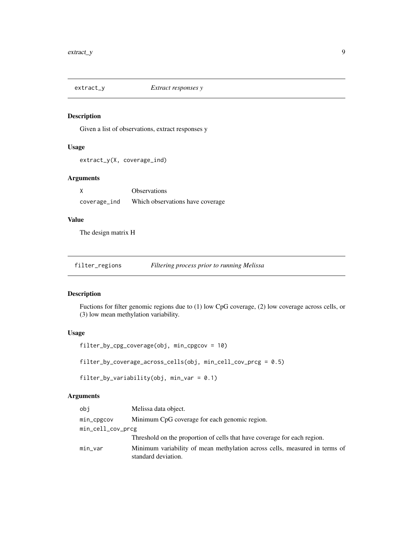<span id="page-8-0"></span>

# Description

Given a list of observations, extract responses y

# Usage

extract\_y(X, coverage\_ind)

#### Arguments

|              | <b>Observations</b>               |
|--------------|-----------------------------------|
| coverage_ind | Which observations have coverage. |

# Value

The design matrix H

<span id="page-8-1"></span>filter\_regions *Filtering process prior to running Melissa*

# Description

Fuctions for filter genomic regions due to (1) low CpG coverage, (2) low coverage across cells, or (3) low mean methylation variability.

# Usage

```
filter_by_cpg_coverage(obj, min_cpgcov = 10)
```
filter\_by\_coverage\_across\_cells(obj, min\_cell\_cov\_prcg = 0.5)

filter\_by\_variability(obj, min\_var = 0.1)

# Arguments

| obj               | Melissa data object.                                                                              |
|-------------------|---------------------------------------------------------------------------------------------------|
| min_cpgcov        | Minimum CpG coverage for each genomic region.                                                     |
| min_cell_cov_prcg |                                                                                                   |
|                   | Threshold on the proportion of cells that have coverage for each region.                          |
| min_var           | Minimum variability of mean methylation across cells, measured in terms of<br>standard deviation. |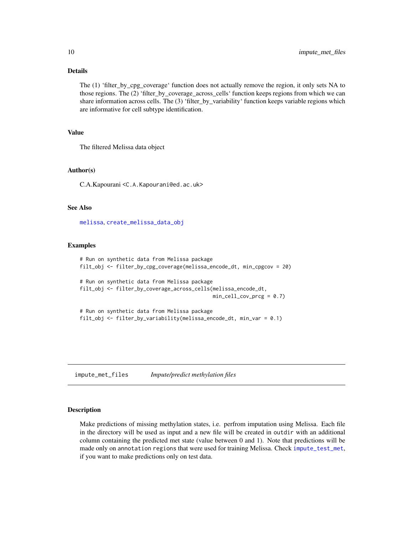# <span id="page-9-0"></span>Details

The (1) 'filter\_by\_cpg\_coverage' function does not actually remove the region, it only sets NA to those regions. The (2) 'filter\_by\_coverage\_across\_cells' function keeps regions from which we can share information across cells. The (3) 'filter by variability' function keeps variable regions which are informative for cell subtype identification.

# Value

The filtered Melissa data object

#### Author(s)

C.A.Kapourani <C.A.Kapourani@ed.ac.uk>

#### See Also

[melissa](#page-14-1), [create\\_melissa\\_data\\_obj](#page-3-1)

#### Examples

```
# Run on synthetic data from Melissa package
filt_obj <- filter_by_cpg_coverage(melissa_encode_dt, min_cpgcov = 20)
# Run on synthetic data from Melissa package
filt_obj <- filter_by_coverage_across_cells(melissa_encode_dt,
                                            min_{cell\_cov\_prog} = 0.7)
# Run on synthetic data from Melissa package
filt_obj <- filter_by_variability(melissa_encode_dt, min_var = 0.1)
```
<span id="page-9-1"></span>impute\_met\_files *Impute/predict methylation files*

#### Description

Make predictions of missing methylation states, i.e. perfrom imputation using Melissa. Each file in the directory will be used as input and a new file will be created in outdir with an additional column containing the predicted met state (value between 0 and 1). Note that predictions will be made only on annotation regions that were used for training Melissa. Check [impute\\_test\\_met](#page-11-1), if you want to make predictions only on test data.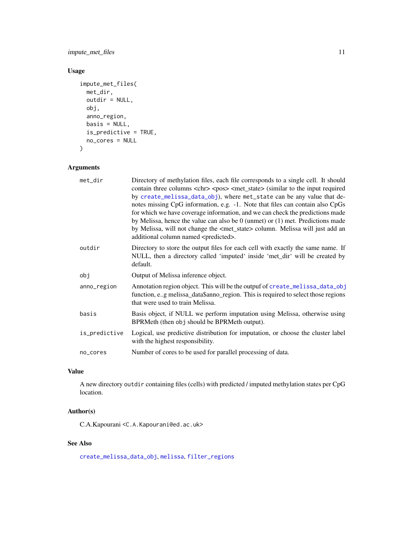<span id="page-10-0"></span>impute\_met\_files 11

# Usage

```
impute_met_files(
 met_dir,
 outdir = NULL,
 obj,
 anno_region,
 basis = NULL,is_predictive = TRUE,
 no_cores = NULL
)
```
# Arguments

| met_dir       | Directory of methylation files, each file corresponds to a single cell. It should<br>contain three columns <chr> <pos> <met_state> (similar to the input required<br/>by create_melissa_data_obj), where met_state can be any value that de-<br/>notes missing CpG information, e.g. -1. Note that files can contain also CpGs<br/>for which we have coverage information, and we can check the predictions made<br/>by Melissa, hence the value can also be <math>0</math> (unmet) or <math>(1)</math> met. Predictions made<br/>by Melissa, will not change the <met_state> column. Melissa will just add an<br/>additional column named <predicted>.</predicted></met_state></met_state></pos></chr> |
|---------------|---------------------------------------------------------------------------------------------------------------------------------------------------------------------------------------------------------------------------------------------------------------------------------------------------------------------------------------------------------------------------------------------------------------------------------------------------------------------------------------------------------------------------------------------------------------------------------------------------------------------------------------------------------------------------------------------------------|
| outdir        | Directory to store the output files for each cell with exactly the same name. If<br>NULL, then a directory called 'imputed' inside 'met_dir' will be created by<br>default.                                                                                                                                                                                                                                                                                                                                                                                                                                                                                                                             |
| obj           | Output of Melissa inference object.                                                                                                                                                                                                                                                                                                                                                                                                                                                                                                                                                                                                                                                                     |
| anno_region   | Annotation region object. This will be the outpuf of create_melissa_data_obj<br>function, e.g melissa_data\$anno_region. This is required to select those regions<br>that were used to train Melissa.                                                                                                                                                                                                                                                                                                                                                                                                                                                                                                   |
| basis         | Basis object, if NULL we perform imputation using Melissa, otherwise using<br>BPRMeth (then obj should be BPRMeth output).                                                                                                                                                                                                                                                                                                                                                                                                                                                                                                                                                                              |
| is_predictive | Logical, use predictive distribution for imputation, or choose the cluster label<br>with the highest responsibility.                                                                                                                                                                                                                                                                                                                                                                                                                                                                                                                                                                                    |
| no_cores      | Number of cores to be used for parallel processing of data.                                                                                                                                                                                                                                                                                                                                                                                                                                                                                                                                                                                                                                             |

# Value

A new directory outdir containing files (cells) with predicted / imputed methylation states per CpG location.

# Author(s)

C.A.Kapourani <C.A.Kapourani@ed.ac.uk>

# See Also

[create\\_melissa\\_data\\_obj](#page-3-1), [melissa](#page-14-1), [filter\\_regions](#page-8-1)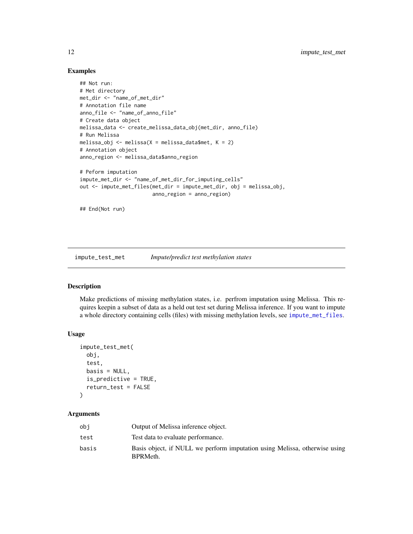#### Examples

```
## Not run:
# Met directory
met_dir <- "name_of_met_dir"
# Annotation file name
anno_file <- "name_of_anno_file"
# Create data object
melissa_data <- create_melissa_data_obj(met_dir, anno_file)
# Run Melissa
melissa_obj <- melissa(X = melissa_data$met, K = 2)
# Annotation object
anno_region <- melissa_data$anno_region
# Peform imputation
impute_met_dir <- "name_of_met_dir_for_imputing_cells"
out <- impute_met_files(met_dir = impute_met_dir, obj = melissa_obj,
                        anno_region = anno_region)
## End(Not run)
```
<span id="page-11-1"></span>impute\_test\_met *Impute/predict test methylation states*

#### Description

Make predictions of missing methylation states, i.e. perfrom imputation using Melissa. This requires keepin a subset of data as a held out test set during Melissa inference. If you want to impute a whole directory containing cells (files) with missing methylation levels, see [impute\\_met\\_files](#page-9-1).

# Usage

```
impute_test_met(
  obj,
  test,
  basis = NULL,is_predictive = TRUE,
  return_test = FALSE
\mathcal{L}
```
#### Arguments

| obi   | Output of Melissa inference object.                                                    |
|-------|----------------------------------------------------------------------------------------|
| test  | Test data to evaluate performance.                                                     |
| basis | Basis object, if NULL we perform imputation using Melissa, otherwise using<br>BPRMeth. |

<span id="page-11-0"></span>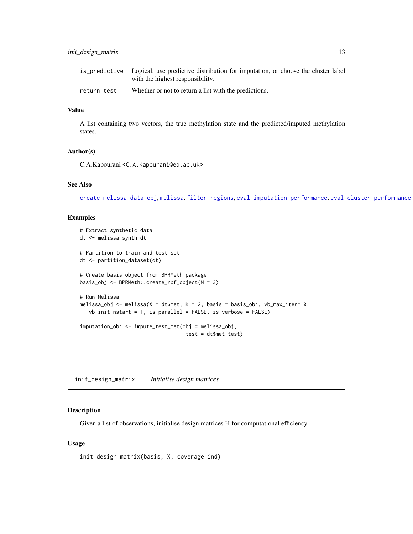<span id="page-12-0"></span>

|             | is predictive Logical, use predictive distribution for imputation, or choose the cluster label<br>with the highest responsibility. |
|-------------|------------------------------------------------------------------------------------------------------------------------------------|
| return test | Whether or not to return a list with the predictions.                                                                              |

#### Value

A list containing two vectors, the true methylation state and the predicted/imputed methylation states.

# Author(s)

C.A.Kapourani <C.A.Kapourani@ed.ac.uk>

#### See Also

[create\\_melissa\\_data\\_obj](#page-3-1), [melissa](#page-14-1), [filter\\_regions](#page-8-1), [eval\\_imputation\\_performance](#page-6-1), [eval\\_cluster\\_performance](#page-5-1)

#### Examples

```
# Extract synthetic data
dt <- melissa_synth_dt
# Partition to train and test set
dt <- partition_dataset(dt)
# Create basis object from BPRMeth package
basis_obj <- BPRMeth::create_rbf_object(M = 3)
# Run Melissa
melissa_obj <- melissa(X = dt$met, K = 2, basis = basis_obj, vb_max_iter=10,
   vb_init_nstart = 1, is_parallel = FALSE, is_verbose = FALSE)
imputation_obj <- impute_test_met(obj = melissa_obj,
                                   test = dt$met_test)
```
init\_design\_matrix *Initialise design matrices*

#### Description

Given a list of observations, initialise design matrices H for computational efficiency.

#### Usage

```
init_design_matrix(basis, X, coverage_ind)
```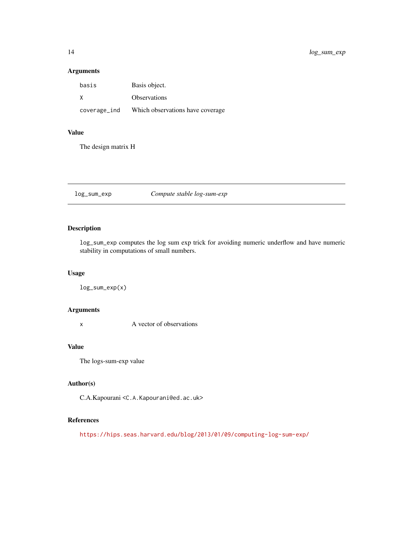# Arguments

| basis        | Basis object.                     |
|--------------|-----------------------------------|
| X            | <b>Observations</b>               |
| coverage_ind | Which observations have coverage. |

#### Value

The design matrix H

log\_sum\_exp *Compute stable log-sum-exp*

# Description

log\_sum\_exp computes the log sum exp trick for avoiding numeric underflow and have numeric stability in computations of small numbers.

#### Usage

log\_sum\_exp(x)

#### Arguments

x A vector of observations

# Value

The logs-sum-exp value

# Author(s)

C.A.Kapourani <C.A.Kapourani@ed.ac.uk>

#### References

<https://hips.seas.harvard.edu/blog/2013/01/09/computing-log-sum-exp/>

<span id="page-13-0"></span>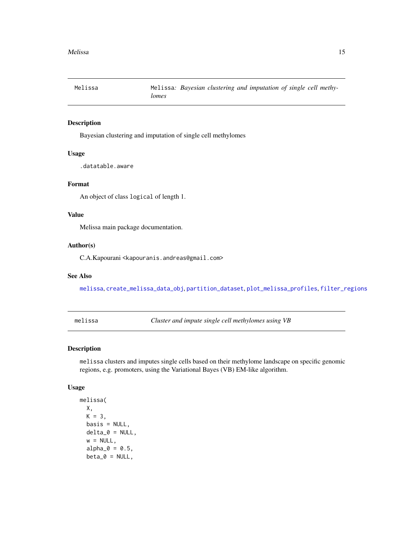<span id="page-14-0"></span>

# Description

Bayesian clustering and imputation of single cell methylomes

#### Usage

.datatable.aware

# Format

An object of class logical of length 1.

# Value

Melissa main package documentation.

#### Author(s)

C.A.Kapourani <kapouranis.andreas@gmail.com>

# See Also

[melissa](#page-14-1), [create\\_melissa\\_data\\_obj](#page-3-1), [partition\\_dataset](#page-20-1), [plot\\_melissa\\_profiles](#page-21-1), [filter\\_regions](#page-8-1)

<span id="page-14-1"></span>melissa *Cluster and impute single cell methylomes using VB*

# Description

melissa clusters and imputes single cells based on their methylome landscape on specific genomic regions, e.g. promoters, using the Variational Bayes (VB) EM-like algorithm.

#### Usage

```
melissa(
 X,
 K = 3,
 basis = NULL,
 delta_0 = NULL,w = NULL,alpha_0 = 0.5,
 beta_0 = NULL,
```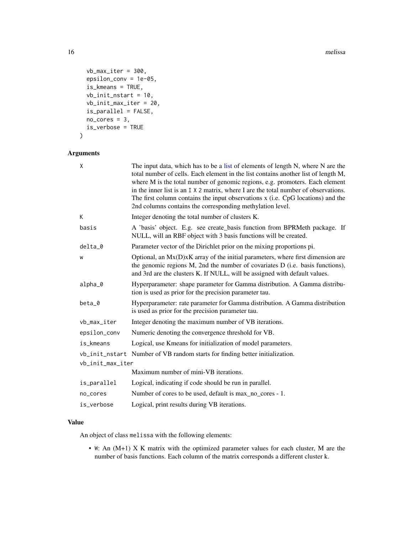#### 16 melissa

```
vb_max\_iter = 300,epsilon_conv = 1e-05,
is_kmeans = TRUE,
vb_init_nstart = 10,
vb_init_max_iter = 20,
is_parallel = FALSE,
no\_cores = 3,is_verbose = TRUE
```
# )

# Arguments

| X                | The input data, which has to be a list of elements of length N, where N are the<br>total number of cells. Each element in the list contains another list of length M,<br>where M is the total number of genomic regions, e.g. promoters. Each element<br>in the inner list is an I X 2 matrix, where I are the total number of observations.<br>The first column contains the input observations x (i.e. CpG locations) and the<br>2nd columns contains the corresponding methylation level. |
|------------------|----------------------------------------------------------------------------------------------------------------------------------------------------------------------------------------------------------------------------------------------------------------------------------------------------------------------------------------------------------------------------------------------------------------------------------------------------------------------------------------------|
| К                | Integer denoting the total number of clusters K.                                                                                                                                                                                                                                                                                                                                                                                                                                             |
| basis            | A 'basis' object. E.g. see create_basis function from BPRMeth package. If<br>NULL, will an RBF object with 3 basis functions will be created.                                                                                                                                                                                                                                                                                                                                                |
| $delta_0$        | Parameter vector of the Dirichlet prior on the mixing proportions pi.                                                                                                                                                                                                                                                                                                                                                                                                                        |
| W                | Optional, an $Mx(D)xK$ array of the initial parameters, where first dimension are<br>the genomic regions M, 2nd the number of covariates D (i.e. basis functions),<br>and 3rd are the clusters K. If NULL, will be assigned with default values.                                                                                                                                                                                                                                             |
| alpha_0          | Hyperparameter: shape parameter for Gamma distribution. A Gamma distribu-<br>tion is used as prior for the precision parameter tau.                                                                                                                                                                                                                                                                                                                                                          |
| beta_0           | Hyperparameter: rate parameter for Gamma distribution. A Gamma distribution<br>is used as prior for the precision parameter tau.                                                                                                                                                                                                                                                                                                                                                             |
| vb_max_iter      | Integer denoting the maximum number of VB iterations.                                                                                                                                                                                                                                                                                                                                                                                                                                        |
| epsilon_conv     | Numeric denoting the convergence threshold for VB.                                                                                                                                                                                                                                                                                                                                                                                                                                           |
| is_kmeans        | Logical, use Kmeans for initialization of model parameters.                                                                                                                                                                                                                                                                                                                                                                                                                                  |
|                  | vb_init_nstart Number of VB random starts for finding better initialization.                                                                                                                                                                                                                                                                                                                                                                                                                 |
| vb_init_max_iter |                                                                                                                                                                                                                                                                                                                                                                                                                                                                                              |
|                  | Maximum number of mini-VB iterations.                                                                                                                                                                                                                                                                                                                                                                                                                                                        |
| is_parallel      | Logical, indicating if code should be run in parallel.                                                                                                                                                                                                                                                                                                                                                                                                                                       |
| no_cores         | Number of cores to be used, default is max_no_cores - 1.                                                                                                                                                                                                                                                                                                                                                                                                                                     |
| is_verbose       | Logical, print results during VB iterations.                                                                                                                                                                                                                                                                                                                                                                                                                                                 |
|                  |                                                                                                                                                                                                                                                                                                                                                                                                                                                                                              |

# Value

An object of class melissa with the following elements:

• W: An (M+1) X K matrix with the optimized parameter values for each cluster, M are the number of basis functions. Each column of the matrix corresponds a different cluster k.

<span id="page-15-0"></span>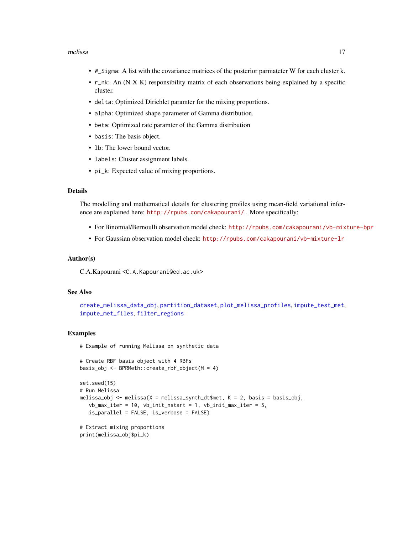#### <span id="page-16-0"></span>melissa 17

- W\_Sigma: A list with the covariance matrices of the posterior parmateter W for each cluster k.
- r\_nk: An (N X K) responsibility matrix of each observations being explained by a specific cluster.
- delta: Optimized Dirichlet paramter for the mixing proportions.
- alpha: Optimized shape parameter of Gamma distribution.
- beta: Optimized rate paramter of the Gamma distribution
- basis: The basis object.
- lb: The lower bound vector.
- labels: Cluster assignment labels.
- pi\_k: Expected value of mixing proportions.

# Details

The modelling and mathematical details for clustering profiles using mean-field variational inference are explained here: <http://rpubs.com/cakapourani/> . More specifically:

- For Binomial/Bernoulli observation model check: <http://rpubs.com/cakapourani/vb-mixture-bpr>
- For Gaussian observation model check: <http://rpubs.com/cakapourani/vb-mixture-lr>

#### Author(s)

C.A.Kapourani <C.A.Kapourani@ed.ac.uk>

#### See Also

```
create_melissa_data_obj, partition_dataset, plot_melissa_profiles, impute_test_met,
impute_met_files, filter_regions
```
# Examples

# Example of running Melissa on synthetic data

```
# Create RBF basis object with 4 RBFs
basis_obj <- BPRMeth::create_rbf_object(M = 4)
set.seed(15)
# Run Melissa
melissa_obj <- melissa(X = melissa_synth_dt$met, K = 2, basis = basis_obj,
  vb_max\_iter = 10, vb\_init\_nstart = 1, vb\_init\_max\_iter = 5,
   is_parallel = FALSE, is_verbose = FALSE)
# Extract mixing proportions
print(melissa_obj$pi_k)
```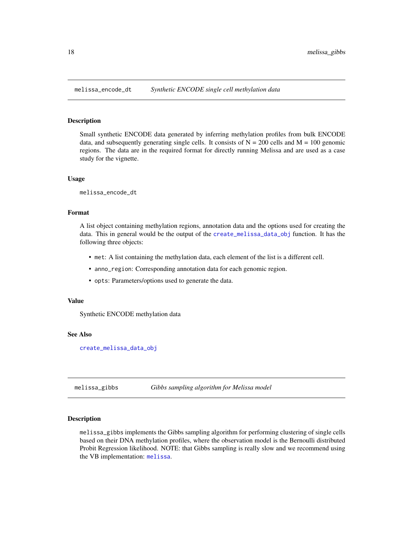<span id="page-17-0"></span>

#### Description

Small synthetic ENCODE data generated by inferring methylation profiles from bulk ENCODE data, and subsequently generating single cells. It consists of  $N = 200$  cells and  $M = 100$  genomic regions. The data are in the required format for directly running Melissa and are used as a case study for the vignette.

#### Usage

melissa\_encode\_dt

#### Format

A list object containing methylation regions, annotation data and the options used for creating the data. This in general would be the output of the [create\\_melissa\\_data\\_obj](#page-3-1) function. It has the following three objects:

- met: A list containing the methylation data, each element of the list is a different cell.
- anno\_region: Corresponding annotation data for each genomic region.
- opts: Parameters/options used to generate the data.

#### Value

Synthetic ENCODE methylation data

#### See Also

[create\\_melissa\\_data\\_obj](#page-3-1)

melissa\_gibbs *Gibbs sampling algorithm for Melissa model*

# **Description**

melissa\_gibbs implements the Gibbs sampling algorithm for performing clustering of single cells based on their DNA methylation profiles, where the observation model is the Bernoulli distributed Probit Regression likelihood. NOTE: that Gibbs sampling is really slow and we recommend using the VB implementation: [melissa](#page-14-1).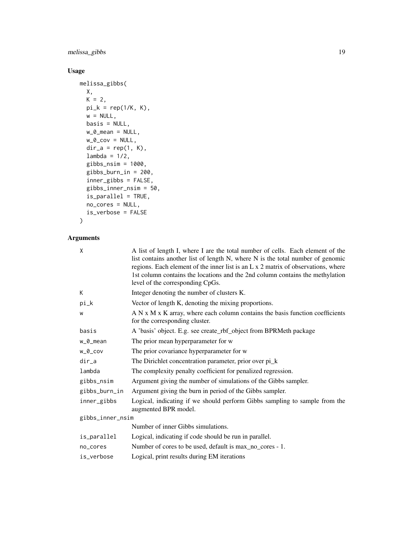# melissa\_gibbs 19

# Usage

```
melissa_gibbs(
 X,
 K = 2,pi_k = rep(1/K, K),
 w = NULL,basis = NULL,w_0_mean = NULL,
 w_0_cov = NULL,
 dir_a = rep(1, K),lambda = 1/2,
 gibbs_nsim = 1000,
 gibbs_burn_in = 200,
  inner_gibbs = FALSE,
 gibbs_inner_nsim = 50,
 is_parallel = TRUE,
 no_cores = NULL,
 is_verbose = FALSE
\mathcal{L}
```
# Arguments

| X                | A list of length I, where I are the total number of cells. Each element of the<br>list contains another list of length N, where N is the total number of genomic<br>regions. Each element of the inner list is an L x 2 matrix of observations, where<br>1st column contains the locations and the 2nd column contains the methylation<br>level of the corresponding CpGs. |  |
|------------------|----------------------------------------------------------------------------------------------------------------------------------------------------------------------------------------------------------------------------------------------------------------------------------------------------------------------------------------------------------------------------|--|
| K                | Integer denoting the number of clusters K.                                                                                                                                                                                                                                                                                                                                 |  |
| pi_k             | Vector of length K, denoting the mixing proportions.                                                                                                                                                                                                                                                                                                                       |  |
| W                | A N x M x K array, where each column contains the basis function coefficients<br>for the corresponding cluster.                                                                                                                                                                                                                                                            |  |
| basis            | A 'basis' object. E.g. see create_rbf_object from BPRMeth package                                                                                                                                                                                                                                                                                                          |  |
| w_0_mean         | The prior mean hyperparameter for w                                                                                                                                                                                                                                                                                                                                        |  |
| $W_0$ _COV       | The prior covariance hyperparameter for w                                                                                                                                                                                                                                                                                                                                  |  |
| dir_a            | The Dirichlet concentration parameter, prior over pi_k                                                                                                                                                                                                                                                                                                                     |  |
| lambda           | The complexity penalty coefficient for penalized regression.                                                                                                                                                                                                                                                                                                               |  |
| gibbs_nsim       | Argument giving the number of simulations of the Gibbs sampler.                                                                                                                                                                                                                                                                                                            |  |
| gibbs_burn_in    | Argument giving the burn in period of the Gibbs sampler.                                                                                                                                                                                                                                                                                                                   |  |
| inner_gibbs      | Logical, indicating if we should perform Gibbs sampling to sample from the<br>augmented BPR model.                                                                                                                                                                                                                                                                         |  |
| gibbs_inner_nsim |                                                                                                                                                                                                                                                                                                                                                                            |  |
|                  | Number of inner Gibbs simulations.                                                                                                                                                                                                                                                                                                                                         |  |
| is_parallel      | Logical, indicating if code should be run in parallel.                                                                                                                                                                                                                                                                                                                     |  |
| no_cores         | Number of cores to be used, default is max_no_cores - 1.                                                                                                                                                                                                                                                                                                                   |  |
| is_verbose       | Logical, print results during EM iterations                                                                                                                                                                                                                                                                                                                                |  |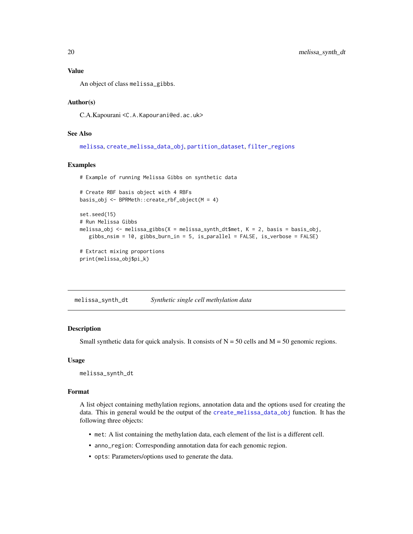#### <span id="page-19-0"></span>Value

An object of class melissa\_gibbs.

#### Author(s)

C.A.Kapourani <C.A.Kapourani@ed.ac.uk>

# See Also

```
melissa, create_melissa_data_obj, partition_dataset, filter_regions
```
#### Examples

```
# Example of running Melissa Gibbs on synthetic data
```

```
# Create RBF basis object with 4 RBFs
basis_obj <- BPRMeth::create_rbf_object(M = 4)
set.seed(15)
# Run Melissa Gibbs
melissa_obj <- melissa_gibbs(X = melissa_synth_dt$met, K = 2, basis = basis_obj,
   gibbs_nsim = 10, gibbs_burn_in = 5, is_parallel = FALSE, is_verbose = FALSE)
# Extract mixing proportions
```

```
print(melissa_obj$pi_k)
```
melissa\_synth\_dt *Synthetic single cell methylation data*

#### Description

Small synthetic data for quick analysis. It consists of  $N = 50$  cells and  $M = 50$  genomic regions.

#### Usage

melissa\_synth\_dt

#### Format

A list object containing methylation regions, annotation data and the options used for creating the data. This in general would be the output of the [create\\_melissa\\_data\\_obj](#page-3-1) function. It has the following three objects:

- met: A list containing the methylation data, each element of the list is a different cell.
- anno\_region: Corresponding annotation data for each genomic region.
- opts: Parameters/options used to generate the data.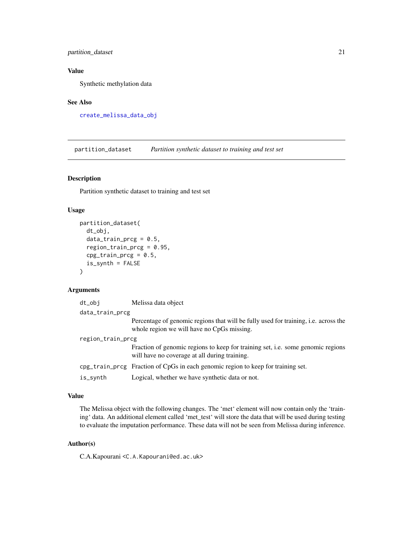# <span id="page-20-0"></span>partition\_dataset 21

# Value

Synthetic methylation data

# See Also

[create\\_melissa\\_data\\_obj](#page-3-1)

<span id="page-20-1"></span>partition\_dataset *Partition synthetic dataset to training and test set*

# Description

Partition synthetic dataset to training and test set

#### Usage

```
partition_dataset(
  dt_obj,
  data_train_prcg = 0.5,
  region\_train\_prog = 0.95,cpg_{\text{r}}train_prcg = 0.5,
  is_synth = FALSE
)
```
#### Arguments

| dt_obi            | Melissa data object                                                                                                                      |  |
|-------------------|------------------------------------------------------------------------------------------------------------------------------------------|--|
| data_train_prcg   |                                                                                                                                          |  |
|                   | Percentage of genomic regions that will be fully used for training, <i>i.e.</i> across the<br>whole region we will have no CpGs missing. |  |
| region_train_prcg |                                                                                                                                          |  |
|                   | Fraction of genomic regions to keep for training set, i.e. some genomic regions<br>will have no coverage at all during training.         |  |
|                   | cpg_train_prcg Fraction of CpGs in each genomic region to keep for training set.                                                         |  |
| is_synth          | Logical, whether we have synthetic data or not.                                                                                          |  |

## Value

The Melissa object with the following changes. The 'met' element will now contain only the 'training' data. An additional element called 'met\_test' will store the data that will be used during testing to evaluate the imputation performance. These data will not be seen from Melissa during inference.

#### Author(s)

C.A.Kapourani <C.A.Kapourani@ed.ac.uk>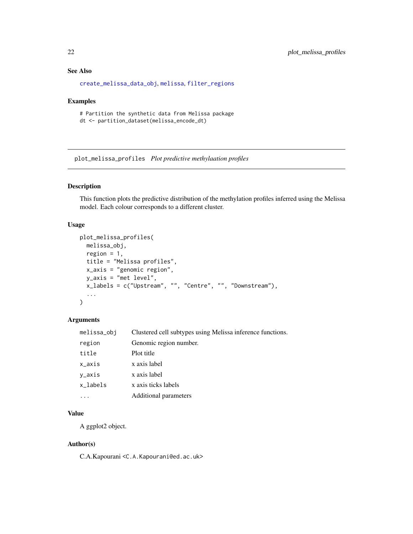# <span id="page-21-0"></span>See Also

[create\\_melissa\\_data\\_obj](#page-3-1), [melissa](#page-14-1), [filter\\_regions](#page-8-1)

#### Examples

# Partition the synthetic data from Melissa package dt <- partition\_dataset(melissa\_encode\_dt)

<span id="page-21-1"></span>plot\_melissa\_profiles *Plot predictive methylaation profiles*

#### Description

This function plots the predictive distribution of the methylation profiles inferred using the Melissa model. Each colour corresponds to a different cluster.

## Usage

```
plot_melissa_profiles(
 melissa_obj,
  region = 1,
  title = "Melissa profiles",
 x_axis = "genomic region",
 y_axis = "met level",
 x_labels = c("Upstream", "", "Centre", "", "Downstream"),
  ...
\mathcal{L}
```
# Arguments

| melissa_obj | Clustered cell subtypes using Melissa inference functions. |
|-------------|------------------------------------------------------------|
| region      | Genomic region number.                                     |
| title       | Plot title                                                 |
| x_axis      | x axis label                                               |
| y_axis      | x axis label                                               |
| x_labels    | x axis ticks labels                                        |
|             | Additional parameters                                      |
|             |                                                            |

# Value

A ggplot2 object.

#### Author(s)

C.A.Kapourani <C.A.Kapourani@ed.ac.uk>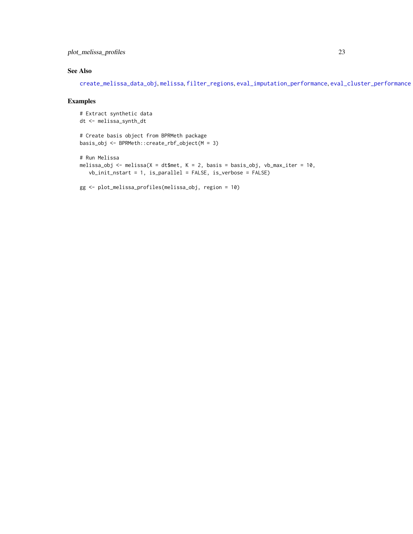<span id="page-22-0"></span>plot\_melissa\_profiles 23

# See Also

[create\\_melissa\\_data\\_obj](#page-3-1), [melissa](#page-14-1), [filter\\_regions](#page-8-1), [eval\\_imputation\\_performance](#page-6-1), [eval\\_cluster\\_performance](#page-5-1)

# Examples

```
# Extract synthetic data
dt <- melissa_synth_dt
# Create basis object from BPRMeth package
basis_obj <- BPRMeth::create_rbf_object(M = 3)
# Run Melissa
melissa_obj <- melissa(X = dt$met, K = 2, basis = basis_obj, vb_max_iter = 10,
   vb_init_nstart = 1, is_parallel = FALSE, is_verbose = FALSE)
gg <- plot_melissa_profiles(melissa_obj, region = 10)
```